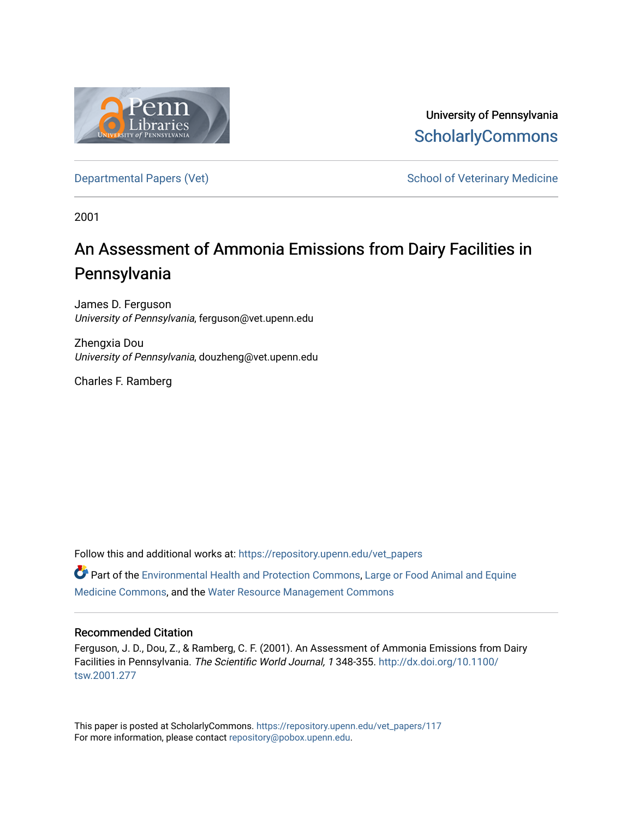

University of Pennsylvania **ScholarlyCommons** 

[Departmental Papers \(Vet\)](https://repository.upenn.edu/vet_papers) and School of Veterinary Medicine

2001

# An Assessment of Ammonia Emissions from Dairy Facilities in Pennsylvania

James D. Ferguson University of Pennsylvania, ferguson@vet.upenn.edu

Zhengxia Dou University of Pennsylvania, douzheng@vet.upenn.edu

Charles F. Ramberg

Follow this and additional works at: [https://repository.upenn.edu/vet\\_papers](https://repository.upenn.edu/vet_papers?utm_source=repository.upenn.edu%2Fvet_papers%2F117&utm_medium=PDF&utm_campaign=PDFCoverPages)  Part of the [Environmental Health and Protection Commons,](http://network.bepress.com/hgg/discipline/172?utm_source=repository.upenn.edu%2Fvet_papers%2F117&utm_medium=PDF&utm_campaign=PDFCoverPages) [Large or Food Animal and Equine](http://network.bepress.com/hgg/discipline/766?utm_source=repository.upenn.edu%2Fvet_papers%2F117&utm_medium=PDF&utm_campaign=PDFCoverPages)  [Medicine Commons](http://network.bepress.com/hgg/discipline/766?utm_source=repository.upenn.edu%2Fvet_papers%2F117&utm_medium=PDF&utm_campaign=PDFCoverPages), and the [Water Resource Management Commons](http://network.bepress.com/hgg/discipline/1057?utm_source=repository.upenn.edu%2Fvet_papers%2F117&utm_medium=PDF&utm_campaign=PDFCoverPages)

#### Recommended Citation

Ferguson, J. D., Dou, Z., & Ramberg, C. F. (2001). An Assessment of Ammonia Emissions from Dairy Facilities in Pennsylvania. The Scientific World Journal, 1 348-355. [http://dx.doi.org/10.1100/](http://dx.doi.org/10.1100/tsw.2001.277) [tsw.2001.277](http://dx.doi.org/10.1100/tsw.2001.277) 

This paper is posted at ScholarlyCommons. [https://repository.upenn.edu/vet\\_papers/117](https://repository.upenn.edu/vet_papers/117) For more information, please contact [repository@pobox.upenn.edu.](mailto:repository@pobox.upenn.edu)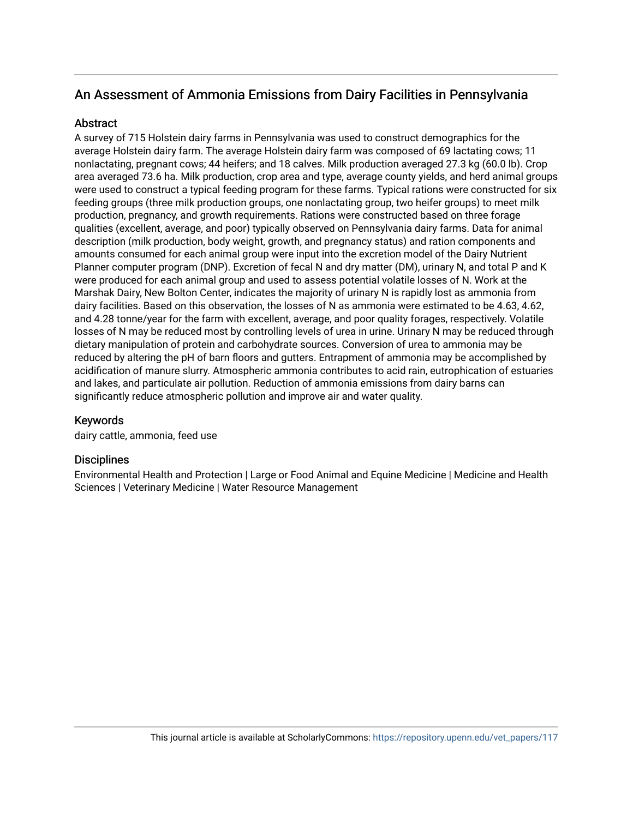### An Assessment of Ammonia Emissions from Dairy Facilities in Pennsylvania

#### **Abstract**

A survey of 715 Holstein dairy farms in Pennsylvania was used to construct demographics for the average Holstein dairy farm. The average Holstein dairy farm was composed of 69 lactating cows; 11 nonlactating, pregnant cows; 44 heifers; and 18 calves. Milk production averaged 27.3 kg (60.0 lb). Crop area averaged 73.6 ha. Milk production, crop area and type, average county yields, and herd animal groups were used to construct a typical feeding program for these farms. Typical rations were constructed for six feeding groups (three milk production groups, one nonlactating group, two heifer groups) to meet milk production, pregnancy, and growth requirements. Rations were constructed based on three forage qualities (excellent, average, and poor) typically observed on Pennsylvania dairy farms. Data for animal description (milk production, body weight, growth, and pregnancy status) and ration components and amounts consumed for each animal group were input into the excretion model of the Dairy Nutrient Planner computer program (DNP). Excretion of fecal N and dry matter (DM), urinary N, and total P and K were produced for each animal group and used to assess potential volatile losses of N. Work at the Marshak Dairy, New Bolton Center, indicates the majority of urinary N is rapidly lost as ammonia from dairy facilities. Based on this observation, the losses of N as ammonia were estimated to be 4.63, 4.62, and 4.28 tonne/year for the farm with excellent, average, and poor quality forages, respectively. Volatile losses of N may be reduced most by controlling levels of urea in urine. Urinary N may be reduced through dietary manipulation of protein and carbohydrate sources. Conversion of urea to ammonia may be reduced by altering the pH of barn floors and gutters. Entrapment of ammonia may be accomplished by acidification of manure slurry. Atmospheric ammonia contributes to acid rain, eutrophication of estuaries and lakes, and particulate air pollution. Reduction of ammonia emissions from dairy barns can significantly reduce atmospheric pollution and improve air and water quality.

#### Keywords

dairy cattle, ammonia, feed use

#### **Disciplines**

Environmental Health and Protection | Large or Food Animal and Equine Medicine | Medicine and Health Sciences | Veterinary Medicine | Water Resource Management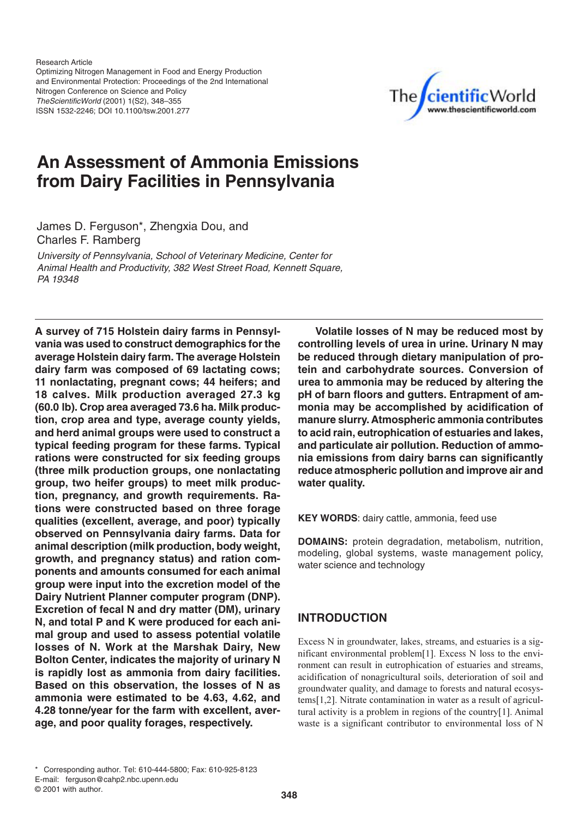Research Article Optimizing Nitrogen Management in Food and Energy Production and Environmental Protection: Proceedings of the 2nd International Nitrogen Conference on Science and Policy TheScientificWorld (2001) 1(S2), 348–355 ISSN 1532-2246; DOI 10.1100/tsw.2001.277



## **An Assessment of Ammonia Emissions from Dairy Facilities in Pennsylvania**

James D. Ferguson\*, Zhengxia Dou, and Charles F. Ramberg

University of Pennsylvania, School of Veterinary Medicine, Center for Animal Health and Productivity, 382 West Street Road, Kennett Square, PA 19348

**A survey of 715 Holstein dairy farms in Pennsylvania was used to construct demographics for the average Holstein dairy farm. The average Holstein dairy farm was composed of 69 lactating cows; 11 nonlactating, pregnant cows; 44 heifers; and 18 calves. Milk production averaged 27.3 kg (60.0 lb). Crop area averaged 73.6 ha. Milk production, crop area and type, average county yields, and herd animal groups were used to construct a typical feeding program for these farms. Typical rations were constructed for six feeding groups (three milk production groups, one nonlactating group, two heifer groups) to meet milk production, pregnancy, and growth requirements. Rations were constructed based on three forage qualities (excellent, average, and poor) typically observed on Pennsylvania dairy farms. Data for animal description (milk production, body weight, growth, and pregnancy status) and ration components and amounts consumed for each animal group were input into the excretion model of the Dairy Nutrient Planner computer program (DNP). Excretion of fecal N and dry matter (DM), urinary N, and total P and K were produced for each animal group and used to assess potential volatile losses of N. Work at the Marshak Dairy, New Bolton Center, indicates the majority of urinary N is rapidly lost as ammonia from dairy facilities. Based on this observation, the losses of N as ammonia were estimated to be 4.63, 4.62, and 4.28 tonne/year for the farm with excellent, average, and poor quality forages, respectively.**

**Volatile losses of N may be reduced most by controlling levels of urea in urine. Urinary N may be reduced through dietary manipulation of protein and carbohydrate sources. Conversion of urea to ammonia may be reduced by altering the pH of barn floors and gutters. Entrapment of ammonia may be accomplished by acidification of manure slurry. Atmospheric ammonia contributes to acid rain, eutrophication of estuaries and lakes, and particulate air pollution. Reduction of ammonia emissions from dairy barns can significantly reduce atmospheric pollution and improve air and water quality.**

**KEY WORDS**: dairy cattle, ammonia, feed use

**DOMAINS:** protein degradation, metabolism, nutrition, modeling, global systems, waste management policy, water science and technology

#### **INTRODUCTION**

Excess N in groundwater, lakes, streams, and estuaries is a significant environmental problem[1]. Excess N loss to the environment can result in eutrophication of estuaries and streams, acidification of nonagricultural soils, deterioration of soil and groundwater quality, and damage to forests and natural ecosystems[1,2]. Nitrate contamination in water as a result of agricultural activity is a problem in regions of the country $[1]$ . Animal waste is a significant contributor to environmental loss of N

\* Corresponding author. Tel: 610-444-5800; Fax: 610-925-8123 E-mail: ferguson@cahp2.nbc.upenn.edu © 2001 with author.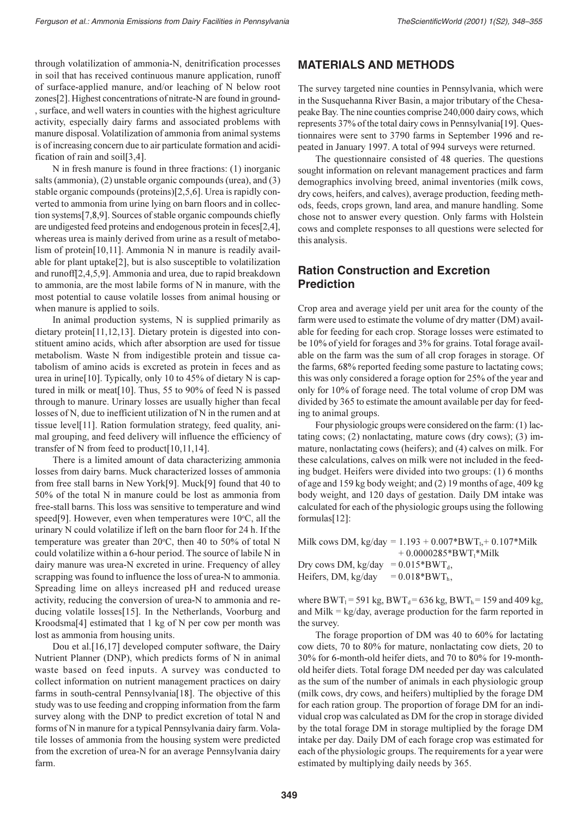through volatilization of ammonia-N, denitrification processes in soil that has received continuous manure application, runoff of surface-applied manure, and/or leaching of N below root zones[2]. Highest concentrations of nitrate-N are found in ground-, surface, and well waters in counties with the highest agriculture activity, especially dairy farms and associated problems with manure disposal. Volatilization of ammonia from animal systems is of increasing concern due to air particulate formation and acidification of rain and soil $[3,4]$ .

N in fresh manure is found in three fractions: (1) inorganic salts (ammonia), (2) unstable organic compounds (urea), and (3) stable organic compounds (proteins)[2,5,6]. Urea is rapidly converted to ammonia from urine lying on barn floors and in collection systems [7,8,9]. Sources of stable organic compounds chiefly are undigested feed proteins and endogenous protein in feces[2,4], whereas urea is mainly derived from urine as a result of metabolism of protein $[10,11]$ . Ammonia N in manure is readily available for plant uptake<sup>[2]</sup>, but is also susceptible to volatilization and runoff[2,4,5,9]. Ammonia and urea, due to rapid breakdown to ammonia, are the most labile forms of N in manure, with the most potential to cause volatile losses from animal housing or when manure is applied to soils.

In animal production systems, N is supplied primarily as dietary protein $[11, 12, 13]$ . Dietary protein is digested into constituent amino acids, which after absorption are used for tissue metabolism. Waste N from indigestible protein and tissue catabolism of amino acids is excreted as protein in feces and as urea in urine [10]. Typically, only 10 to 45% of dietary N is captured in milk or meat[10]. Thus, 55 to 90% of feed N is passed through to manure. Urinary losses are usually higher than fecal losses of N, due to inefficient utilization of N in the rumen and at tissue level[11]. Ration formulation strategy, feed quality, animal grouping, and feed delivery will influence the efficiency of transfer of N from feed to product[ $10, 11, 14$ ].

There is a limited amount of data characterizing ammonia losses from dairy barns. Muck characterized losses of ammonia from free stall barns in New York[9]. Muck[9] found that 40 to 50% of the total N in manure could be lost as ammonia from free-stall barns. This loss was sensitive to temperature and wind speed[9]. However, even when temperatures were 10°C, all the urinary N could volatilize if left on the barn floor for 24 h. If the temperature was greater than 20 $\degree$ C, then 40 to 50% of total N could volatilize within a 6-hour period. The source of labile N in dairy manure was urea-N excreted in urine. Frequency of alley scrapping was found to influence the loss of urea-N to ammonia. Spreading lime on alleys increased pH and reduced urease activity, reducing the conversion of urea-N to ammonia and reducing volatile losses[15]. In the Netherlands, Voorburg and Kroodsma<sup>[4]</sup> estimated that 1 kg of N per cow per month was lost as ammonia from housing units.

Dou et al. [16,17] developed computer software, the Dairy Nutrient Planner (DNP), which predicts forms of N in animal waste based on feed inputs. A survey was conducted to collect information on nutrient management practices on dairy farms in south-central Pennsylvania[18]. The objective of this study was to use feeding and cropping information from the farm survey along with the DNP to predict excretion of total N and forms of N in manure for a typical Pennsylvania dairy farm. Volatile losses of ammonia from the housing system were predicted from the excretion of urea-N for an average Pennsylvania dairy farm

#### **MATERIALS AND METHODS**

The survey targeted nine counties in Pennsylvania, which were in the Susquehanna River Basin, a major tributary of the Chesapeake Bay. The nine counties comprise 240,000 dairy cows, which represents 37% of the total dairy cows in Pennsylvania[19]. Questionnaires were sent to 3790 farms in September 1996 and repeated in January 1997. A total of 994 surveys were returned.

The questionnaire consisted of 48 queries. The questions sought information on relevant management practices and farm demographics involving breed, animal inventories (milk cows, dry cows, heifers, and calves), average production, feeding methods, feeds, crops grown, land area, and manure handling. Some chose not to answer every question. Only farms with Holstein cows and complete responses to all questions were selected for this analysis.

#### **Ration Construction and Excretion Prediction**

Crop area and average yield per unit area for the county of the farm were used to estimate the volume of dry matter (DM) available for feeding for each crop. Storage losses were estimated to be 10% of yield for forages and 3% for grains. Total forage available on the farm was the sum of all crop forages in storage. Of the farms, 68% reported feeding some pasture to lactating cows; this was only considered a forage option for 25% of the year and only for 10% of forage need. The total volume of crop DM was divided by 365 to estimate the amount available per day for feeding to animal groups.

Four physiologic groups were considered on the farm: (1) lactating cows; (2) nonlactating, mature cows (dry cows); (3) immature, nonlactating cows (heifers); and (4) calves on milk. For these calculations, calves on milk were not included in the feeding budget. Heifers were divided into two groups: (1) 6 months of age and 159 kg body weight; and (2) 19 months of age, 409 kg body weight, and 120 days of gestation. Daily DM intake was calculated for each of the physiologic groups using the following formulas $[12]$ :

|                                      | Milk cows DM, kg/day = $1.193 + 0.007*BWT_{1} + 0.107*Milk$ |
|--------------------------------------|-------------------------------------------------------------|
|                                      | $+0.0000285*BWT1*Milk$                                      |
| Dry cows DM, kg/day = $0.015*BWTd$ , |                                                             |
| Heifers, DM, kg/day                  | $= 0.018*BWT_{h}$                                           |

where  $BWT_1 = 591$  kg,  $BWT_4 = 636$  kg,  $BWT_1 = 159$  and 409 kg, and Milk =  $\frac{kg}{day}$ , average production for the farm reported in the survey.

The forage proportion of DM was 40 to  $60\%$  for lactating cow diets, 70 to 80% for mature, nonlactating cow diets, 20 to 30% for 6-month-old heifer diets, and 70 to 80% for 19-monthold heifer diets. Total forage DM needed per day was calculated as the sum of the number of animals in each physiologic group (milk cows, dry cows, and heifers) multiplied by the forage DM for each ration group. The proportion of forage DM for an individual crop was calculated as DM for the crop in storage divided by the total forage DM in storage multiplied by the forage DM intake per day. Daily DM of each forage crop was estimated for each of the physiologic groups. The requirements for a year were estimated by multiplying daily needs by 365.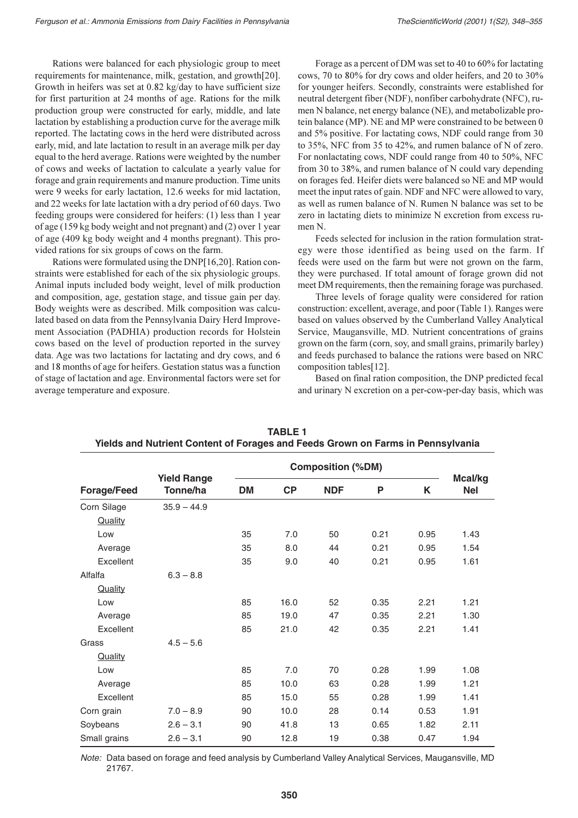Rations were balanced for each physiologic group to meet requirements for maintenance, milk, gestation, and growth[20]. Growth in heifers was set at 0.82 kg/day to have sufficient size for first parturition at 24 months of age. Rations for the milk production group were constructed for early, middle, and late lactation by establishing a production curve for the average milk reported. The lactating cows in the herd were distributed across early, mid, and late lactation to result in an average milk per day equal to the herd average. Rations were weighted by the number of cows and weeks of lactation to calculate a yearly value for forage and grain requirements and manure production. Time units were 9 weeks for early lactation, 12.6 weeks for mid lactation, and 22 weeks for late lactation with a dry period of 60 days. Two feeding groups were considered for heifers: (1) less than 1 year of age (159 kg body weight and not pregnant) and (2) over 1 year of age (409 kg body weight and 4 months pregnant). This provided rations for six groups of cows on the farm.

Rations were formulated using the DNP[16,20]. Ration constraints were established for each of the six physiologic groups. Animal inputs included body weight, level of milk production and composition, age, gestation stage, and tissue gain per day. Body weights were as described. Milk composition was calculated based on data from the Pennsylvania Dairy Herd Improvement Association (PADHIA) production records for Holstein cows based on the level of production reported in the survey data. Age was two lactations for lactating and dry cows, and 6 and 18 months of age for heifers. Gestation status was a function of stage of lactation and age. Environmental factors were set for average temperature and exposure.

Forage as a percent of DM was set to 40 to 60% for lactating cows, 70 to 80% for dry cows and older heifers, and 20 to 30% for younger heifers. Secondly, constraints were established for neutral detergent fiber (NDF), nonfiber carbohydrate (NFC), rumen N balance, net energy balance (NE), and metabolizable protein balance (MP). NE and MP were constrained to be between 0 and 5% positive. For lactating cows, NDF could range from 30 to 35%, NFC from 35 to 42%, and rumen balance of N of zero. For nonlactating cows, NDF could range from 40 to 50%, NFC from 30 to 38%, and rumen balance of N could vary depending on forages fed. Heifer diets were balanced so NE and MP would meet the input rates of gain. NDF and NFC were allowed to vary, as well as rumen balance of N. Rumen N balance was set to be zero in lactating diets to minimize N excretion from excess rumen<sub>N</sub>.

Feeds selected for inclusion in the ration formulation strategy were those identified as being used on the farm. If feeds were used on the farm but were not grown on the farm, they were purchased. If total amount of forage grown did not meet DM requirements, then the remaining forage was purchased.

Three levels of forage quality were considered for ration construction: excellent, average, and poor (Table 1). Ranges were based on values observed by the Cumberland Valley Analytical Service, Maugansville, MD. Nutrient concentrations of grains grown on the farm (corn, soy, and small grains, primarily barley) and feeds purchased to balance the rations were based on NRC composition tables[12].

Based on final ration composition, the DNP predicted fecal and urinary N excretion on a per-cow-per-day basis, which was

|                    |                                | <b>Composition (%DM)</b> |      |            |      |      |                       |
|--------------------|--------------------------------|--------------------------|------|------------|------|------|-----------------------|
| <b>Forage/Feed</b> | <b>Yield Range</b><br>Tonne/ha | <b>DM</b>                | CP   | <b>NDF</b> | P    | K    | Mcal/kg<br><b>Nel</b> |
| Corn Silage        | $35.9 - 44.9$                  |                          |      |            |      |      |                       |
| Quality            |                                |                          |      |            |      |      |                       |
| Low                |                                | 35                       | 7.0  | 50         | 0.21 | 0.95 | 1.43                  |
| Average            |                                | 35                       | 8.0  | 44         | 0.21 | 0.95 | 1.54                  |
| Excellent          |                                | 35                       | 9.0  | 40         | 0.21 | 0.95 | 1.61                  |
| Alfalfa            | $6.3 - 8.8$                    |                          |      |            |      |      |                       |
| Quality            |                                |                          |      |            |      |      |                       |
| Low                |                                | 85                       | 16.0 | 52         | 0.35 | 2.21 | 1.21                  |
| Average            |                                | 85                       | 19.0 | 47         | 0.35 | 2.21 | 1.30                  |
| Excellent          |                                | 85                       | 21.0 | 42         | 0.35 | 2.21 | 1.41                  |
| Grass              | $4.5 - 5.6$                    |                          |      |            |      |      |                       |
| Quality            |                                |                          |      |            |      |      |                       |
| Low                |                                | 85                       | 7.0  | 70         | 0.28 | 1.99 | 1.08                  |
| Average            |                                | 85                       | 10.0 | 63         | 0.28 | 1.99 | 1.21                  |
| Excellent          |                                | 85                       | 15.0 | 55         | 0.28 | 1.99 | 1.41                  |
| Corn grain         | $7.0 - 8.9$                    | 90                       | 10.0 | 28         | 0.14 | 0.53 | 1.91                  |
| Soybeans           | $2.6 - 3.1$                    | 90                       | 41.8 | 13         | 0.65 | 1.82 | 2.11                  |
| Small grains       | $2.6 - 3.1$                    | 90                       | 12.8 | 19         | 0.38 | 0.47 | 1.94                  |

**TABLE 1** Yields and Nutrient Content of Forages and Feeds Grown on Farms in Pennsylvania

Note: Data based on forage and feed analysis by Cumberland Valley Analytical Services, Maugansville, MD 21767.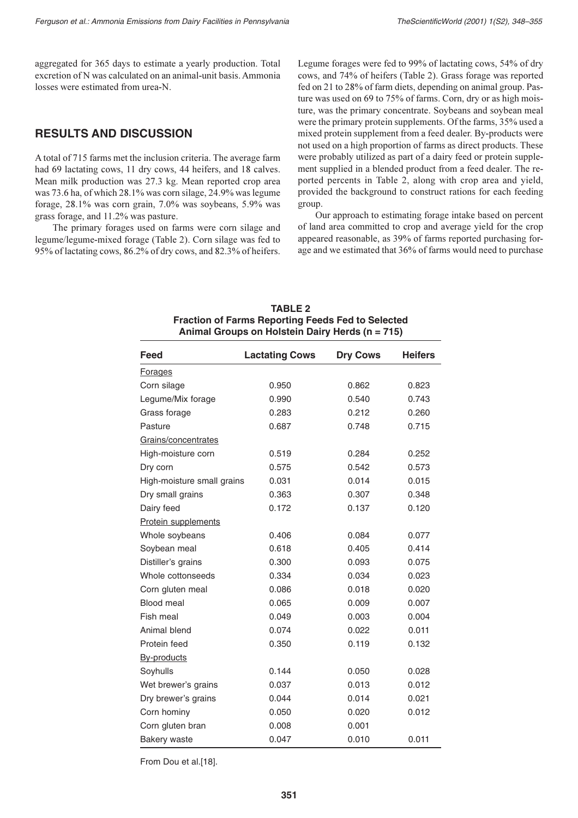aggregated for 365 days to estimate a yearly production. Total excretion of N was calculated on an animal-unit basis. Ammonia losses were estimated from urea-N.

#### **RESULTS AND DISCUSSION**

A total of 715 farms met the inclusion criteria. The average farm had 69 lactating cows, 11 dry cows, 44 heifers, and 18 calves. Mean milk production was 27.3 kg. Mean reported crop area was 73.6 ha, of which 28.1% was corn silage, 24.9% was legume forage, 28.1% was corn grain, 7.0% was soybeans, 5.9% was grass forage, and 11.2% was pasture.

The primary forages used on farms were corn silage and legume/legume-mixed forage (Table 2). Corn silage was fed to 95% of lactating cows, 86.2% of dry cows, and 82.3% of heifers.

Legume forages were fed to 99% of lactating cows, 54% of dry cows, and 74% of heifers (Table 2). Grass forage was reported fed on 21 to 28% of farm diets, depending on animal group. Pasture was used on 69 to 75% of farms. Corn, dry or as high moisture, was the primary concentrate. Soybeans and soybean meal were the primary protein supplements. Of the farms, 35% used a mixed protein supplement from a feed dealer. By-products were not used on a high proportion of farms as direct products. These were probably utilized as part of a dairy feed or protein supplement supplied in a blended product from a feed dealer. The reported percents in Table 2, along with crop area and yield, provided the background to construct rations for each feeding group.

Our approach to estimating forage intake based on percent of land area committed to crop and average yield for the crop appeared reasonable, as 39% of farms reported purchasing forage and we estimated that 36% of farms would need to purchase

| Animal Groups on Hoistein Dairy Herds ( $n = 715$ ) |                       |                 |                |  |
|-----------------------------------------------------|-----------------------|-----------------|----------------|--|
| <b>Feed</b>                                         | <b>Lactating Cows</b> | <b>Dry Cows</b> | <b>Heifers</b> |  |
| <b>Forages</b>                                      |                       |                 |                |  |
| Corn silage                                         | 0.950                 | 0.862           | 0.823          |  |
| Legume/Mix forage                                   | 0.990                 | 0.540           | 0.743          |  |
| Grass forage                                        | 0.283                 | 0.212           | 0.260          |  |
| Pasture                                             | 0.687                 | 0.748           | 0.715          |  |
| Grains/concentrates                                 |                       |                 |                |  |
| High-moisture corn                                  | 0.519                 | 0.284           | 0.252          |  |
| Dry corn                                            | 0.575                 | 0.542           | 0.573          |  |
| High-moisture small grains                          | 0.031                 | 0.014           | 0.015          |  |
| Dry small grains                                    | 0.363                 | 0.307           | 0.348          |  |
| Dairy feed                                          | 0.172                 | 0.137           | 0.120          |  |
| Protein supplements                                 |                       |                 |                |  |
| Whole soybeans                                      | 0.406                 | 0.084           | 0.077          |  |
| Soybean meal                                        | 0.618                 | 0.405           | 0.414          |  |
| Distiller's grains                                  | 0.300                 | 0.093           | 0.075          |  |
| Whole cottonseeds                                   | 0.334                 | 0.034           | 0.023          |  |
| Corn gluten meal                                    | 0.086                 | 0.018           | 0.020          |  |
| Blood meal                                          | 0.065                 | 0.009           | 0.007          |  |
| Fish meal                                           | 0.049                 | 0.003           | 0.004          |  |
| Animal blend                                        | 0.074                 | 0.022           | 0.011          |  |
| Protein feed                                        | 0.350                 | 0.119           | 0.132          |  |
| By-products                                         |                       |                 |                |  |
| Soyhulls                                            | 0.144                 | 0.050           | 0.028          |  |
| Wet brewer's grains                                 | 0.037                 | 0.013           | 0.012          |  |
| Dry brewer's grains                                 | 0.044                 | 0.014           | 0.021          |  |
| Corn hominy                                         | 0.050                 | 0.020           | 0.012          |  |
| Corn gluten bran                                    | 0.008                 | 0.001           |                |  |
| Bakery waste                                        | 0.047                 | 0.010           | 0.011          |  |

**TABLE 2 Fraction of Farms Reporting Feeds Fed to Selected Animal Groups on Holstein Dairy Herds (n = 715)**

From Dou et al.[18].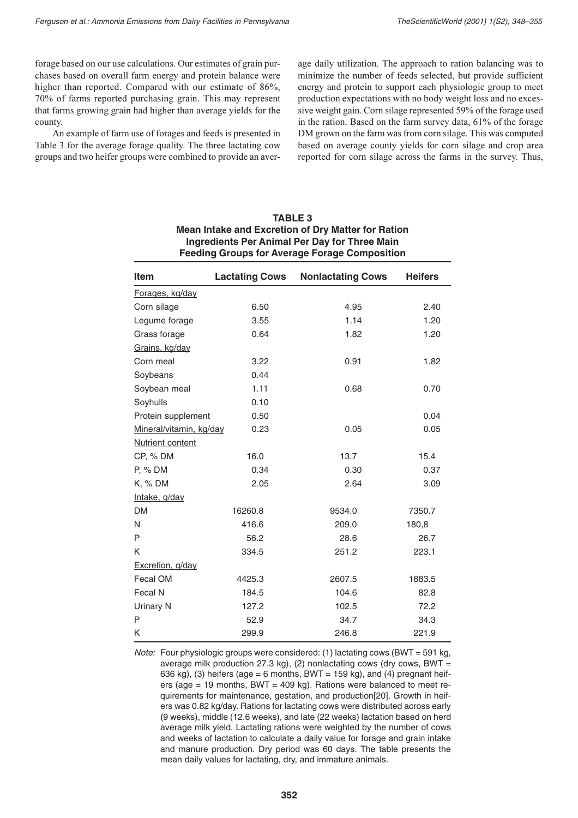forage based on our use calculations. Our estimates of grain purchases based on overall farm energy and protein balance were higher than reported. Compared with our estimate of 86%, 70% of farms reported purchasing grain. This may represent that farms growing grain had higher than average yields for the county.

An example of farm use of forages and feeds is presented in Table 3 for the average forage quality. The three lactating cow groups and two heifer groups were combined to provide an aver-

age daily utilization. The approach to ration balancing was to minimize the number of feeds selected, but provide sufficient energy and protein to support each physiologic group to meet production expectations with no body weight loss and no excessive weight gain. Corn silage represented 59% of the forage used in the ration. Based on the farm survey data, 61% of the forage DM grown on the farm was from corn silage. This was computed based on average county yields for corn silage and crop area reported for corn silage across the farms in the survey. Thus,

| Item                    | <b>Lactating Cows</b> | <b>Nonlactating Cows</b> | <b>Heifers</b> |
|-------------------------|-----------------------|--------------------------|----------------|
| Forages, kg/day         |                       |                          |                |
| Corn silage             | 6.50                  | 4.95                     | 2.40           |
| Legume forage           | 3.55                  | 1.14                     | 1.20           |
| Grass forage            | 0.64                  | 1.82                     | 1.20           |
| Grains, kg/day          |                       |                          |                |
| Corn meal               | 3.22                  | 0.91                     | 1.82           |
| Soybeans                | 0.44                  |                          |                |
| Soybean meal            | 1.11                  | 0.68                     | 0.70           |
| Soyhulls                | 0.10                  |                          |                |
| Protein supplement      | 0.50                  |                          | 0.04           |
| Mineral/vitamin, kg/day | 0.23                  | 0.05                     | 0.05           |
| Nutrient content        |                       |                          |                |
| CP, % DM                | 16.0                  | 13.7                     | 15.4           |
| P, % DM                 | 0.34                  | 0.30                     | 0.37           |
| K, % DM                 | 2.05                  | 2.64                     | 3.09           |
| Intake, g/day           |                       |                          |                |
| <b>DM</b>               | 16260.8               | 9534.0                   | 7350.7         |
| N                       | 416.6                 | 209.0                    | 180,8          |
| P                       | 56.2                  | 28.6                     | 26.7           |
| K                       | 334.5                 | 251.2                    | 223.1          |
| Excretion, g/day        |                       |                          |                |
| Fecal OM                | 4425.3                | 2607.5                   | 1883.5         |
| Fecal N                 | 184.5                 | 104.6                    | 82.8           |
| Urinary N               | 127.2                 | 102.5                    | 72.2           |
| P                       | 52.9                  | 34.7                     | 34.3           |
| K                       | 299.9                 | 246.8                    | 221.9          |

#### **TABLE 3 Mean Intake and Excretion of Dry Matter for Ration Ingredients Per Animal Per Day for Three Main Feeding Groups for Average Forage Composition**

*Note:* Four physiologic groups were considered: (1) lactating cows (BWT = 591 kg, average milk production 27.3 kg), (2) nonlactating cows (dry cows, BWT = 636 kg), (3) heifers (age = 6 months, BWT = 159 kg), and (4) pregnant heifers (age = 19 months, BWT = 409 kg). Rations were balanced to meet requirements for maintenance, gestation, and production[20]. Growth in heifers was 0.82 kg/day. Rations for lactating cows were distributed across early (9 weeks), middle (12.6 weeks), and late (22 weeks) lactation based on herd average milk yield. Lactating rations were weighted by the number of cows and weeks of lactation to calculate a daily value for forage and grain intake and manure production. Dry period was 60 days. The table presents the mean daily values for lactating, dry, and immature animals.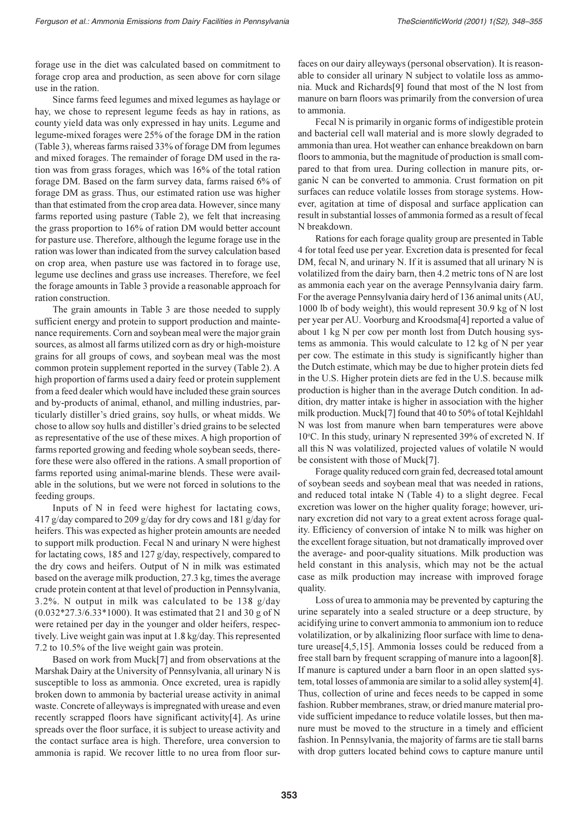forage use in the diet was calculated based on commitment to forage crop area and production, as seen above for corn silage use in the ration.

Since farms feed legumes and mixed legumes as haylage or hay, we chose to represent legume feeds as hay in rations, as county yield data was only expressed in hay units. Legume and legume-mixed forages were 25% of the forage DM in the ration (Table 3), whereas farms raised 33% of forage DM from legumes and mixed forages. The remainder of forage DM used in the ration was from grass forages, which was 16% of the total ration forage DM. Based on the farm survey data, farms raised 6% of forage DM as grass. Thus, our estimated ration use was higher than that estimated from the crop area data. However, since many farms reported using pasture (Table 2), we felt that increasing the grass proportion to 16% of ration DM would better account for pasture use. Therefore, although the legume forage use in the ration was lower than indicated from the survey calculation based on crop area, when pasture use was factored in to forage use, legume use declines and grass use increases. Therefore, we feel the forage amounts in Table 3 provide a reasonable approach for ration construction.

The grain amounts in Table 3 are those needed to supply sufficient energy and protein to support production and maintenance requirements. Corn and soybean meal were the major grain sources, as almost all farms utilized corn as dry or high-moisture grains for all groups of cows, and soybean meal was the most common protein supplement reported in the survey (Table 2). A high proportion of farms used a dairy feed or protein supplement from a feed dealer which would have included these grain sources and by-products of animal, ethanol, and milling industries, particularly distiller's dried grains, soy hulls, or wheat midds. We chose to allow soy hulls and distiller's dried grains to be selected as representative of the use of these mixes. A high proportion of farms reported growing and feeding whole soybean seeds, therefore these were also offered in the rations. A small proportion of farms reported using animal-marine blends. These were available in the solutions, but we were not forced in solutions to the feeding groups.

Inputs of N in feed were highest for lactating cows, 417 g/day compared to 209 g/day for dry cows and 181 g/day for heifers. This was expected as higher protein amounts are needed to support milk production. Fecal N and urinary N were highest for lactating cows, 185 and 127  $g$ /day, respectively, compared to the dry cows and heifers. Output of N in milk was estimated based on the average milk production, 27.3 kg, times the average crude protein content at that level of production in Pennsylvania, 3.2%. N output in milk was calculated to be 138 g/day  $(0.032*27.3/6.33*1000)$ . It was estimated that 21 and 30 g of N were retained per day in the younger and older heifers, respectively. Live weight gain was input at 1.8 kg/day. This represented 7.2 to 10.5% of the live weight gain was protein.

Based on work from Muck[7] and from observations at the Marshak Dairy at the University of Pennsylvania, all urinary N is susceptible to loss as ammonia. Once excreted, urea is rapidly broken down to ammonia by bacterial urease activity in animal waste. Concrete of alleyways is impregnated with urease and even recently scrapped floors have significant activity[4]. As urine spreads over the floor surface, it is subject to urease activity and the contact surface area is high. Therefore, urea conversion to ammonia is rapid. We recover little to no urea from floor surfaces on our dairy alleyways (personal observation). It is reasonable to consider all urinary N subject to volatile loss as ammonia. Muck and Richards<sup>[9]</sup> found that most of the N lost from manure on barn floors was primarily from the conversion of urea to ammonia.

Fecal N is primarily in organic forms of indigestible protein and bacterial cell wall material and is more slowly degraded to ammonia than urea. Hot weather can enhance breakdown on barn floors to ammonia, but the magnitude of production is small compared to that from urea. During collection in manure pits, organic N can be converted to ammonia. Crust formation on pit surfaces can reduce volatile losses from storage systems. However, agitation at time of disposal and surface application can result in substantial losses of ammonia formed as a result of fecal N breakdown.

Rations for each forage quality group are presented in Table 4 for total feed use per year. Excretion data is presented for fecal DM, fecal N, and urinary N. If it is assumed that all urinary N is volatilized from the dairy barn, then 4.2 metric tons of N are lost as ammonia each year on the average Pennsylvania dairy farm. For the average Pennsylvania dairy herd of 136 animal units (AU, 1000 lb of body weight), this would represent 30.9 kg of N lost per year per AU. Voorburg and Kroodsma[4] reported a value of about 1 kg N per cow per month lost from Dutch housing systems as ammonia. This would calculate to 12 kg of N per year per cow. The estimate in this study is significantly higher than the Dutch estimate, which may be due to higher protein diets fed in the U.S. Higher protein diets are fed in the U.S. because milk production is higher than in the average Dutch condition. In addition, dry matter intake is higher in association with the higher milk production. Muck[7] found that 40 to 50% of total Kejhldahl N was lost from manure when barn temperatures were above 10°C. In this study, urinary N represented 39% of excreted N. If all this N was volatilized, projected values of volatile N would be consistent with those of Muck[7].

Forage quality reduced corn grain fed, decreased total amount of soybean seeds and soybean meal that was needed in rations, and reduced total intake N (Table 4) to a slight degree. Fecal excretion was lower on the higher quality forage; however, urinary excretion did not vary to a great extent across forage quality. Efficiency of conversion of intake N to milk was higher on the excellent forage situation, but not dramatically improved over the average- and poor-quality situations. Milk production was held constant in this analysis, which may not be the actual case as milk production may increase with improved forage quality.

Loss of urea to ammonia may be prevented by capturing the urine separately into a sealed structure or a deep structure, by acidifying urine to convert ammonia to ammonium ion to reduce volatilization, or by alkalinizing floor surface with lime to denature urease[4,5,15]. Ammonia losses could be reduced from a free stall barn by frequent scrapping of manure into a lagoon[8]. If manure is captured under a barn floor in an open slatted system, total losses of ammonia are similar to a solid alley system[4]. Thus, collection of urine and feces needs to be capped in some fashion. Rubber membranes, straw, or dried manure material provide sufficient impedance to reduce volatile losses, but then manure must be moved to the structure in a timely and efficient fashion. In Pennsylvania, the majority of farms are tie stall barns with drop gutters located behind cows to capture manure until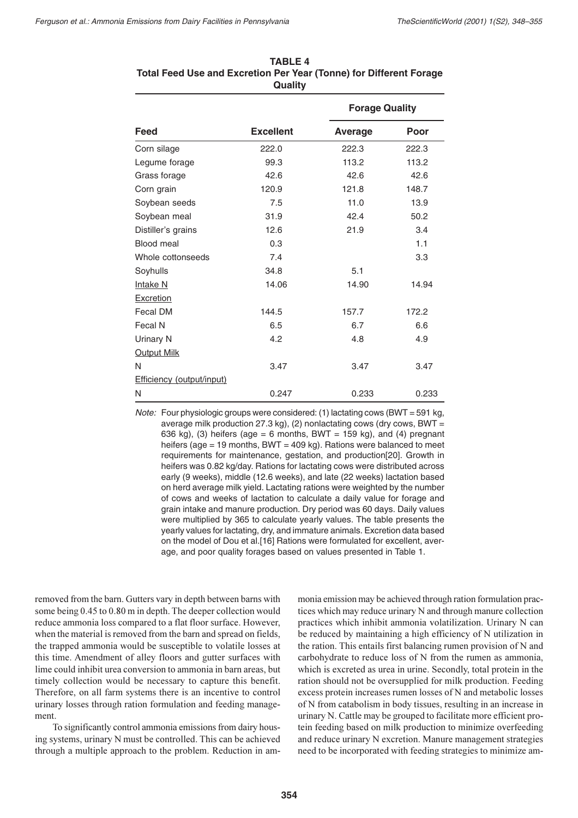|                           |                  | <b>Forage Quality</b> |       |  |
|---------------------------|------------------|-----------------------|-------|--|
| Feed                      | <b>Excellent</b> | <b>Average</b>        | Poor  |  |
| Corn silage               | 222.0            | 222.3                 | 222.3 |  |
| Legume forage             | 99.3             | 113.2                 | 113.2 |  |
| Grass forage              | 42.6             | 42.6                  | 42.6  |  |
| Corn grain                | 120.9            | 121.8                 | 148.7 |  |
| Soybean seeds             | 7.5              | 11.0                  | 13.9  |  |
| Soybean meal              | 31.9             | 42.4                  | 50.2  |  |
| Distiller's grains        | 12.6             | 21.9                  | 3.4   |  |
| Blood meal                | 0.3              |                       | 1.1   |  |
| Whole cottonseeds         | 7.4              |                       | 3.3   |  |
| Soyhulls                  | 34.8             | 5.1                   |       |  |
| <b>Intake N</b>           | 14.06            | 14.90                 | 14.94 |  |
| Excretion                 |                  |                       |       |  |
| Fecal DM                  | 144.5            | 157.7                 | 172.2 |  |
| Fecal N                   | 6.5              | 6.7                   | 6.6   |  |
| Urinary N                 | 4.2              | 4.8                   | 4.9   |  |
| <b>Output Milk</b>        |                  |                       |       |  |
| N                         | 3.47             | 3.47                  | 3.47  |  |
| Efficiency (output/input) |                  |                       |       |  |
| N                         | 0.247            | 0.233                 | 0.233 |  |

**TABLE 4 Total Feed Use and Excretion Per Year (Tonne) for Different Forage Quality**

Note: Four physiologic groups were considered: (1) lactating cows (BWT = 591 kg, average milk production 27.3 kg), (2) nonlactating cows (dry cows, BWT = 636 kg), (3) heifers (age = 6 months, BWT = 159 kg), and (4) pregnant heifers (age = 19 months, BWT = 409 kg). Rations were balanced to meet requirements for maintenance, gestation, and production[20]. Growth in heifers was 0.82 kg/day. Rations for lactating cows were distributed across early (9 weeks), middle (12.6 weeks), and late (22 weeks) lactation based on herd average milk yield. Lactating rations were weighted by the number of cows and weeks of lactation to calculate a daily value for forage and grain intake and manure production. Dry period was 60 days. Daily values were multiplied by 365 to calculate yearly values. The table presents the yearly values for lactating, dry, and immature animals. Excretion data based on the model of Dou et al.[16] Rations were formulated for excellent, average, and poor quality forages based on values presented in Table 1.

removed from the barn. Gutters vary in depth between barns with some being 0.45 to 0.80 m in depth. The deeper collection would reduce ammonia loss compared to a flat floor surface. However, when the material is removed from the barn and spread on fields, the trapped ammonia would be susceptible to volatile losses at this time. Amendment of alley floors and gutter surfaces with lime could inhibit urea conversion to ammonia in barn areas, but timely collection would be necessary to capture this benefit. Therefore, on all farm systems there is an incentive to control urinary losses through ration formulation and feeding management.

To significantly control ammonia emissions from dairy housing systems, urinary N must be controlled. This can be achieved through a multiple approach to the problem. Reduction in am-

monia emission may be achieved through ration formulation practices which may reduce urinary N and through manure collection practices which inhibit ammonia volatilization. Urinary N can be reduced by maintaining a high efficiency of N utilization in the ration. This entails first balancing rumen provision of N and carbohydrate to reduce loss of N from the rumen as ammonia, which is excreted as urea in urine. Secondly, total protein in the ration should not be oversupplied for milk production. Feeding excess protein increases rumen losses of N and metabolic losses of N from catabolism in body tissues, resulting in an increase in urinary N. Cattle may be grouped to facilitate more efficient protein feeding based on milk production to minimize overfeeding and reduce urinary N excretion. Manure management strategies need to be incorporated with feeding strategies to minimize am